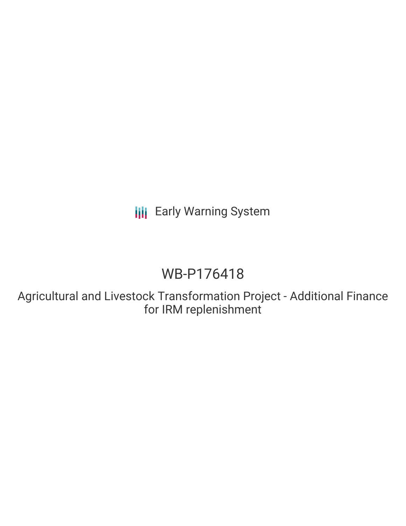**III** Early Warning System

# WB-P176418

Agricultural and Livestock Transformation Project - Additional Finance for IRM replenishment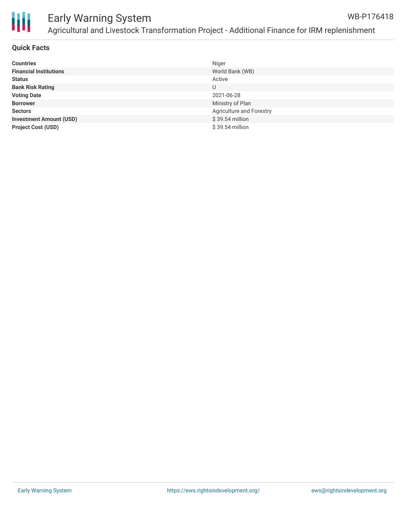

#### Early Warning System Agricultural and Livestock Transformation Project - Additional Finance for IRM replenishment WB-P176418

#### **Quick Facts**

| <b>Countries</b>               | Niger                    |
|--------------------------------|--------------------------|
| <b>Financial Institutions</b>  | World Bank (WB)          |
| <b>Status</b>                  | Active                   |
| <b>Bank Risk Rating</b>        | U                        |
| <b>Voting Date</b>             | 2021-06-28               |
| <b>Borrower</b>                | Ministry of Plan         |
| <b>Sectors</b>                 | Agriculture and Forestry |
| <b>Investment Amount (USD)</b> | \$39.54 million          |
| <b>Project Cost (USD)</b>      | \$39.54 million          |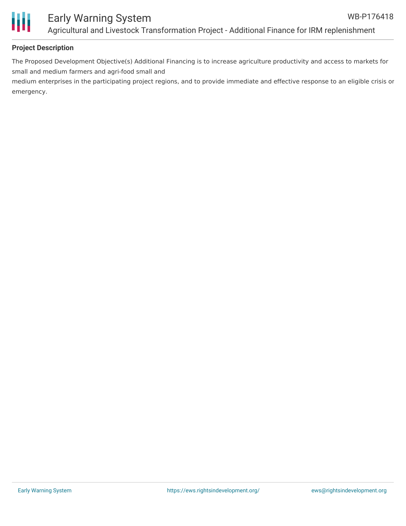

## Early Warning System Agricultural and Livestock Transformation Project - Additional Finance for IRM replenishment

#### **Project Description**

The Proposed Development Objective(s) Additional Financing is to increase agriculture productivity and access to markets for small and medium farmers and agri-food small and

medium enterprises in the participating project regions, and to provide immediate and effective response to an eligible crisis or emergency.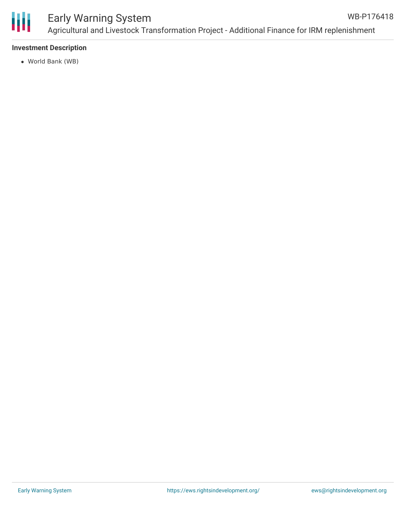

#### **Investment Description**

World Bank (WB)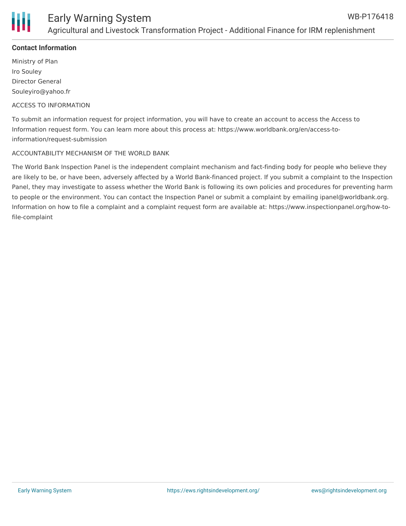

#### **Contact Information**

Ministry of Plan Iro Souley Director General Souleyiro@yahoo.fr

#### ACCESS TO INFORMATION

To submit an information request for project information, you will have to create an account to access the Access to Information request form. You can learn more about this process at: https://www.worldbank.org/en/access-toinformation/request-submission

#### ACCOUNTABILITY MECHANISM OF THE WORLD BANK

The World Bank Inspection Panel is the independent complaint mechanism and fact-finding body for people who believe they are likely to be, or have been, adversely affected by a World Bank-financed project. If you submit a complaint to the Inspection Panel, they may investigate to assess whether the World Bank is following its own policies and procedures for preventing harm to people or the environment. You can contact the Inspection Panel or submit a complaint by emailing ipanel@worldbank.org. Information on how to file a complaint and a complaint request form are available at: https://www.inspectionpanel.org/how-tofile-complaint